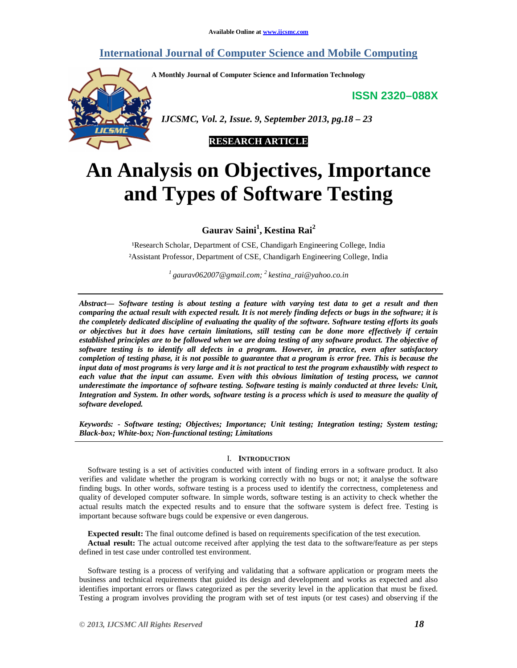# **International Journal of Computer Science and Mobile Computing**

**A Monthly Journal of Computer Science and Information Technology**

**ISSN 2320–088X**



 *IJCSMC, Vol. 2, Issue. 9, September 2013, pg.18 – 23*



# **An Analysis on Objectives, Importance and Types of Software Testing**

**Gaurav Saini<sup>1</sup> , Kestina Rai<sup>2</sup>**

<sup>1</sup>Research Scholar, Department of CSE, Chandigarh Engineering College, India ²Assistant Professor, Department of CSE, Chandigarh Engineering College, India

*1 gaurav062007@gmail.com; 2 kestina\_rai@yahoo.co.in*

*Abstract— Software testing is about testing a feature with varying test data to get a result and then comparing the actual result with expected result. It is not merely finding defects or bugs in the software; it is the completely dedicated discipline of evaluating the quality of the software. Software testing efforts its goals or objectives but it does have certain limitations, still testing can be done more effectively if certain established principles are to be followed when we are doing testing of any software product. The objective of software testing is to identify all defects in a program. However, in practice, even after satisfactory completion of testing phase, it is not possible to guarantee that a program is error free. This is because the input data of most programs is very large and it is not practical to test the program exhaustibly with respect to each value that the input can assume. Even with this obvious limitation of testing process, we cannot underestimate the importance of software testing. Software testing is mainly conducted at three levels: Unit, Integration and System. In other words, software testing is a process which is used to measure the quality of software developed.*

*Keywords: - Software testing; Objectives; Importance; Unit testing; Integration testing; System testing; Black-box; White-box; Non-functional testing; Limitations*

# I. **INTRODUCTION**

Software testing is a set of activities conducted with intent of finding errors in a software product. It also verifies and validate whether the program is working correctly with no bugs or not; it analyse the software finding bugs. In other words, software testing is a process used to identify the correctness, completeness and quality of developed computer software. In simple words, software testing is an activity to check whether the actual results match the expected results and to ensure that the software system is defect free. Testing is important because software bugs could be expensive or even dangerous.

**Expected result:** The final outcome defined is based on requirements specification of the test execution. **Actual result:** The actual outcome received after applying the test data to the software/feature as per steps defined in test case under controlled test environment.

Software testing is a process of verifying and validating that a software application or program meets the business and technical requirements that guided its design and development and works as expected and also identifies important errors or flaws categorized as per the severity level in the application that must be fixed. Testing a program involves providing the program with set of test inputs (or test cases) and observing if the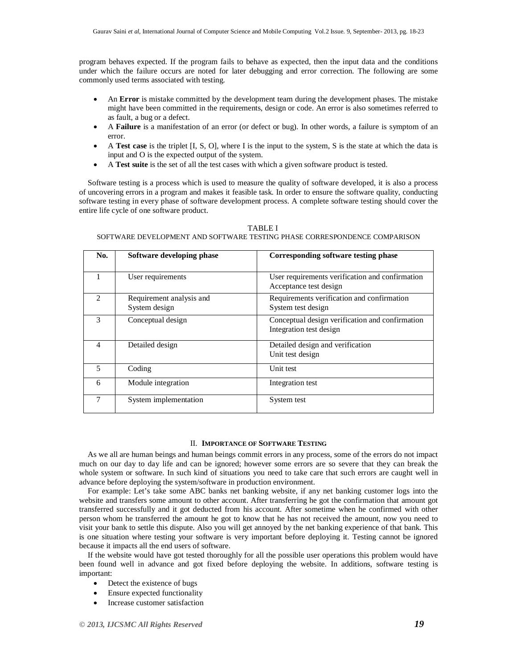program behaves expected. If the program fails to behave as expected, then the input data and the conditions under which the failure occurs are noted for later debugging and error correction. The following are some commonly used terms associated with testing.

- An **Error** is mistake committed by the development team during the development phases. The mistake might have been committed in the requirements, design or code. An error is also sometimes referred to as fault, a bug or a defect.
- A **Failure** is a manifestation of an error (or defect or bug). In other words, a failure is symptom of an error.
- A **Test case** is the triplet [I, S, O], where I is the input to the system, S is the state at which the data is input and O is the expected output of the system.
- A **Test suite** is the set of all the test cases with which a given software product is tested.

Software testing is a process which is used to measure the quality of software developed, it is also a process of uncovering errors in a program and makes it feasible task. In order to ensure the software quality, conducting software testing in every phase of software development process. A complete software testing should cover the entire life cycle of one software product.

#### TABLE I

# SOFTWARE DEVELOPMENT AND SOFTWARE TESTING PHASE CORRESPONDENCE COMPARISON

| No.                         | Software developing phase                 | Corresponding software testing phase                                       |
|-----------------------------|-------------------------------------------|----------------------------------------------------------------------------|
|                             | User requirements                         | User requirements verification and confirmation<br>Acceptance test design  |
| $\mathcal{D}_{\mathcal{L}}$ | Requirement analysis and<br>System design | Requirements verification and confirmation<br>System test design           |
| 3                           | Conceptual design                         | Conceptual design verification and confirmation<br>Integration test design |
| 4                           | Detailed design                           | Detailed design and verification<br>Unit test design                       |
| 5                           | Coding                                    | Unit test                                                                  |
| 6                           | Module integration                        | Integration test                                                           |
| 7                           | System implementation                     | System test                                                                |

#### II. **IMPORTANCE OF SOFTWARE TESTING**

As we all are human beings and human beings commit errors in any process, some of the errors do not impact much on our day to day life and can be ignored; however some errors are so severe that they can break the whole system or software. In such kind of situations you need to take care that such errors are caught well in advance before deploying the system/software in production environment.

For example: Let's take some ABC banks net banking website, if any net banking customer logs into the website and transfers some amount to other account. After transferring he got the confirmation that amount got transferred successfully and it got deducted from his account. After sometime when he confirmed with other person whom he transferred the amount he got to know that he has not received the amount, now you need to visit your bank to settle this dispute. Also you will get annoyed by the net banking experience of that bank. This is one situation where testing your software is very important before deploying it. Testing cannot be ignored because it impacts all the end users of software.

If the website would have got tested thoroughly for all the possible user operations this problem would have been found well in advance and got fixed before deploying the website. In additions, software testing is important:

- Detect the existence of bugs
- Ensure expected functionality
- Increase customer satisfaction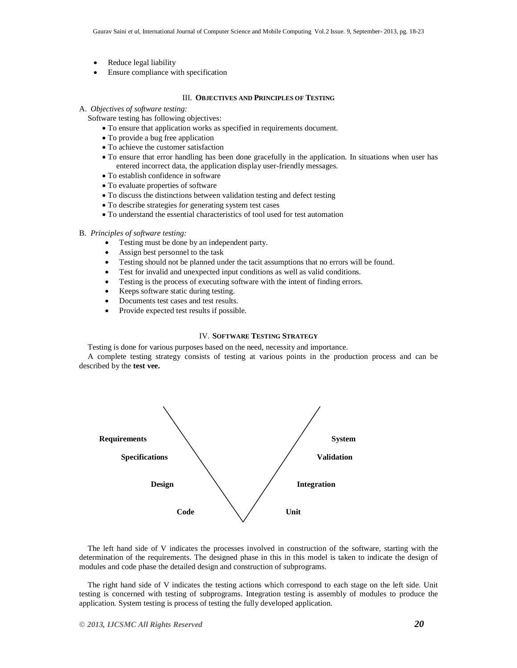- Reduce legal liability
- Ensure compliance with specification

#### III. **OBJECTIVES AND PRINCIPLES OF TESTING**

A. *Objectives of software testing:*

- Software testing has following objectives:
	- To ensure that application works as specified in requirements document.
	- To provide a bug free application
	- To achieve the customer satisfaction
	- To ensure that error handling has been done gracefully in the application. In situations when user has entered incorrect data, the application display user-friendly messages.
	- To establish confidence in software
	- To evaluate properties of software
	- To discuss the distinctions between validation testing and defect testing
	- To describe strategies for generating system test cases
	- To understand the essential characteristics of tool used for test automation

#### B. *Principles of software testing:*

- Testing must be done by an independent party.
- Assign best personnel to the task
- Testing should not be planned under the tacit assumptions that no errors will be found.
- Test for invalid and unexpected input conditions as well as valid conditions.
- Testing is the process of executing software with the intent of finding errors.
- Keeps software static during testing.
- Documents test cases and test results.
- Provide expected test results if possible.

# IV. **SOFTWARE TESTING STRATEGY**

Testing is done for various purposes based on the need, necessity and importance.

A complete testing strategy consists of testing at various points in the production process and can be described by the **test vee.**



The left hand side of V indicates the processes involved in construction of the software, starting with the determination of the requirements. The designed phase in this in this model is taken to indicate the design of modules and code phase the detailed design and construction of subprograms.

The right hand side of V indicates the testing actions which correspond to each stage on the left side. Unit testing is concerned with testing of subprograms. Integration testing is assembly of modules to produce the application. System testing is process of testing the fully developed application.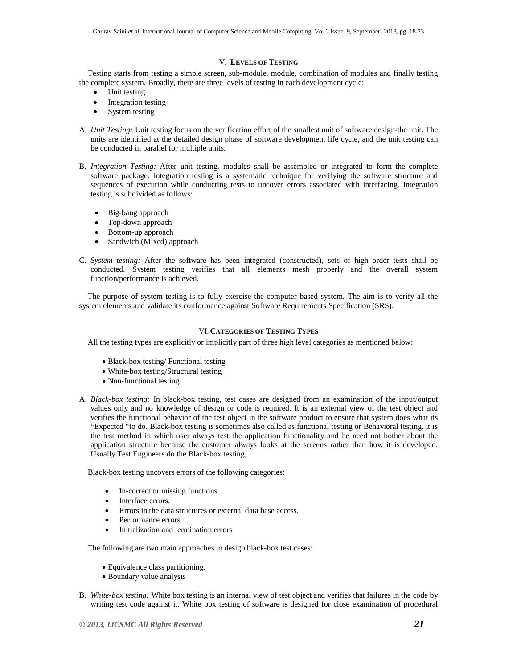#### V. **LEVELS OF TESTING**

Testing starts from testing a simple screen, sub-module, module, combination of modules and finally testing the complete system. Broadly, there are three levels of testing in each development cycle:

- Unit testing
- Integration testing
- System testing
- A. *Unit Testing:* Unit testing focus on the verification effort of the smallest unit of software design-the unit. The units are identified at the detailed design phase of software development life cycle, and the unit testing can be conducted in parallel for multiple units.
- B. *Integration Testing:* After unit testing, modules shall be assembled or integrated to form the complete software package. Integration testing is a systematic technique for verifying the software structure and sequences of execution while conducting tests to uncover errors associated with interfacing. Integration testing is subdivided as follows:
	- Big-bang approach
	- Top-down approach
	- Bottom-up approach
	- Sandwich (Mixed) approach
- C. *System testing:* After the software has been integrated (constructed), sets of high order tests shall be conducted. System testing verifies that all elements mesh properly and the overall system function/performance is achieved.

The purpose of system testing is to fully exercise the computer based system. The aim is to verify all the system elements and validate its conformance against Software Requirements Specification (SRS).

# VI. **CATEGORIES OF TESTING TYPES**

All the testing types are explicitly or implicitly part of three high level categories as mentioned below:

- Black-box testing/ Functional testing
- White-box testing/Structural testing
- Non-functional testing
- A. *Black-box testing:* In black-box testing, test cases are designed from an examination of the input/output values only and no knowledge of design or code is required. It is an external view of the test object and verifies the functional behavior of the test object in the software product to ensure that system does what its "Expected "to do. Black-box testing is sometimes also called as functional testing or Behavioral testing. it is the test method in which user always test the application functionality and he need not bother about the application structure because the customer always looks at the screens rather than how it is developed. Usually Test Engineers do the Black-box testing.

Black-box testing uncovers errors of the following categories:

- In-correct or missing functions.
- Interface errors.
- Errors in the data structures or external data base access.
- **Performance errors**
- Initialization and termination errors

The following are two main approaches to design black-box test cases:

- Equivalence class partitioning.
- Boundary value analysis
- B. *White-box testing:* White box testing is an internal view of test object and verifies that failures in the code by writing test code against it. White box testing of software is designed for close examination of procedural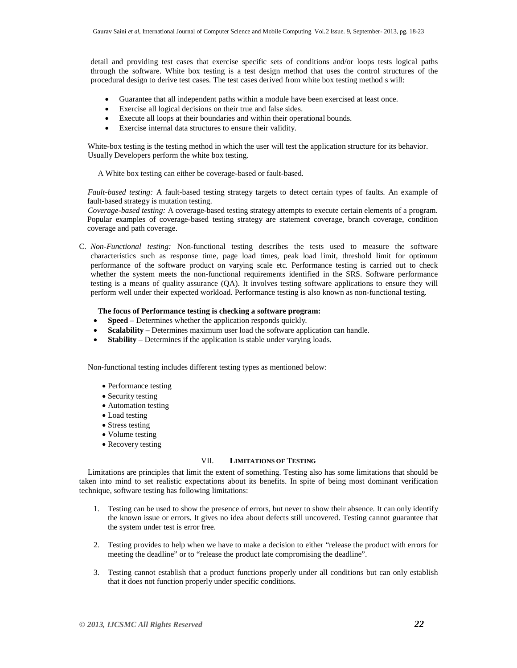detail and providing test cases that exercise specific sets of conditions and/or loops tests logical paths through the software. White box testing is a test design method that uses the control structures of the procedural design to derive test cases. The test cases derived from white box testing method s will:

- Guarantee that all independent paths within a module have been exercised at least once.
- Exercise all logical decisions on their true and false sides.
- Execute all loops at their boundaries and within their operational bounds.
- Exercise internal data structures to ensure their validity.

White-box testing is the testing method in which the user will test the application structure for its behavior. Usually Developers perform the white box testing.

A White box testing can either be coverage-based or fault-based.

*Fault-based testing:* A fault-based testing strategy targets to detect certain types of faults. An example of fault-based strategy is mutation testing.

*Coverage-based testing:* A coverage-based testing strategy attempts to execute certain elements of a program. Popular examples of coverage-based testing strategy are statement coverage, branch coverage, condition coverage and path coverage.

C. *Non-Functional testing:* Non-functional testing describes the tests used to measure the software characteristics such as response time, page load times, peak load limit, threshold limit for optimum performance of the software product on varying scale etc. Performance testing is carried out to check whether the system meets the non-functional requirements identified in the SRS. Software performance testing is a means of quality assurance (QA). It involves testing software applications to ensure they will perform well under their expected workload. Performance testing is also known as non-functional testing.

# **The focus of Performance testing is checking a software program:**

- **Speed** Determines whether the application responds quickly.
- **Scalability**  Determines maximum user load the software application can handle.
- **Stability** Determines if the application is stable under varying loads.

Non-functional testing includes different testing types as mentioned below:

- Performance testing
- Security testing
- Automation testing
- Load testing
- Stress testing
- Volume testing
- Recovery testing

# VII. **LIMITATIONS OF TESTING**

Limitations are principles that limit the extent of something. Testing also has some limitations that should be taken into mind to set realistic expectations about its benefits. In spite of being most dominant verification technique, software testing has following limitations:

- 1. Testing can be used to show the presence of errors, but never to show their absence. It can only identify the known issue or errors. It gives no idea about defects still uncovered. Testing cannot guarantee that the system under test is error free.
- 2. Testing provides to help when we have to make a decision to either "release the product with errors for meeting the deadline" or to "release the product late compromising the deadline".
- 3. Testing cannot establish that a product functions properly under all conditions but can only establish that it does not function properly under specific conditions.